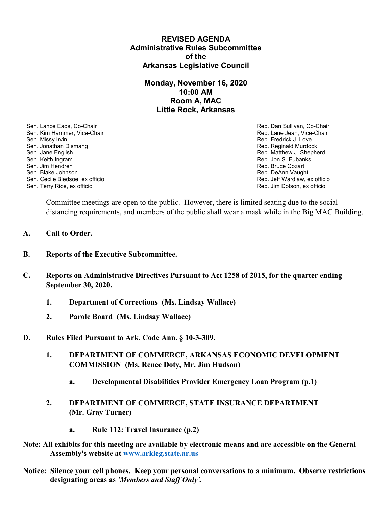## **REVISED AGENDA Administrative Rules Subcommittee of the Arkansas Legislative Council**

## **Monday, November 16, 2020 10:00 AM Room A, MAC Little Rock, Arkansas**

Sen. Lance Eads, Co-Chair Rep. Dan Sullivan, Co-Chair Sen. Kim Hammer, Vice-Chair **Rep. Lane Jean, Vice-Chair** Rep. Lane Jean, Vice-Chair Sen. Missy Irvin New York 1, 2008 and the sense of the sense of the Sense of Technical Sense of Technical Australian Sense of Technical Australian Sense of Technical Australian Sense of Technical Australian Sense of Techni Sen. Jonathan Dismang Rep. Reginald Murdock Sen. Jane English Rep. Matthew J. Shepherd Rep. Matthew J. Shepherd Sen. Keith Ingram Rep. Jon S. Eubanks (Sen. Keith Ingram Rep. Jon S. Eubanks (Sen. Jon S. Eubanks (Sen. Jon S. Eubanks (Sen. Jon S. Eubanks (Sen. Jon S. Eubanks (Sen. Jon S. Eubanks (Sen. Jon S. Eubanks (Sen. Jon S. Eubank Sen. Blake Johnson (Sen. 1999)<br>Sen. Cecile Bledsoe, ex officio (Sen. 1999)<br>Sen. Cecile Bledsoe, ex officio (Sen. 1999) Sen. Cecile Bledsoe, ex officio Sen. Terry Rice, ex officio Rep. Jim Dotson, ex officio

Rep. Bruce Cozart

Committee meetings are open to the public. However, there is limited seating due to the social distancing requirements, and members of the public shall wear a mask while in the Big MAC Building.

- **A. Call to Order.**
- **B. Reports of the Executive Subcommittee.**
- **C. Reports on Administrative Directives Pursuant to Act 1258 of 2015, for the quarter ending September 30, 2020.**
	- **1. Department of Corrections (Ms. Lindsay Wallace)**
	- **2. Parole Board (Ms. Lindsay Wallace)**
- **D. Rules Filed Pursuant to Ark. Code Ann. § 10-3-309.**
	- **1. DEPARTMENT OF COMMERCE, ARKANSAS ECONOMIC DEVELOPMENT COMMISSION (Ms. Renee Doty, Mr. Jim Hudson)**
		- **a. Developmental Disabilities Provider Emergency Loan Program (p.1)**
	- **2. DEPARTMENT OF COMMERCE, STATE INSURANCE DEPARTMENT (Mr. Gray Turner)**
		- **a. Rule 112: Travel Insurance (p.2)**
- **Note: All exhibits for this meeting are available by electronic means and are accessible on the General Assembly's website at [www.arkleg.state.ar.us](http://www.arkleg.state.ar.us)**
- **Notice: Silence your cell phones. Keep your personal conversations to a minimum. Observe restrictions designating areas as** *'Members and Staff Only'.*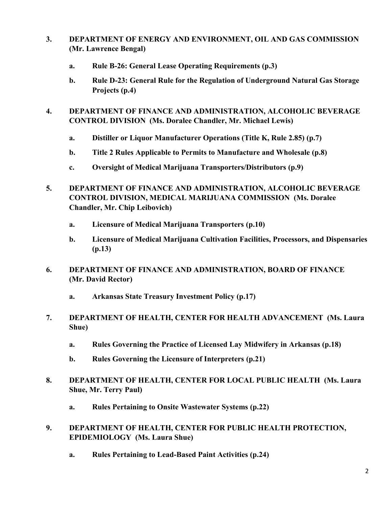- **3. DEPARTMENT OF ENERGY AND ENVIRONMENT, OIL AND GAS COMMISSION (Mr. Lawrence Bengal)**
	- **a. Rule B-26: General Lease Operating Requirements (p.3)**
	- **b. Rule D-23: General Rule for the Regulation of Underground Natural Gas Storage Projects (p.4)**
- **4. DEPARTMENT OF FINANCE AND ADMINISTRATION, ALCOHOLIC BEVERAGE CONTROL DIVISION (Ms. Doralee Chandler, Mr. Michael Lewis)**
	- **a. Distiller or Liquor Manufacturer Operations (Title K, Rule 2.85) (p.7)**
	- **b. Title 2 Rules Applicable to Permits to Manufacture and Wholesale (p.8)**
	- **c. Oversight of Medical Marijuana Transporters/Distributors (p.9)**
- **5. DEPARTMENT OF FINANCE AND ADMINISTRATION, ALCOHOLIC BEVERAGE CONTROL DIVISION, MEDICAL MARIJUANA COMMISSION (Ms. Doralee Chandler, Mr. Chip Leibovich)**
	- **a. Licensure of Medical Marijuana Transporters (p.10)**
	- **b. Licensure of Medical Marijuana Cultivation Facilities, Processors, and Dispensaries (p.13)**
- **6. DEPARTMENT OF FINANCE AND ADMINISTRATION, BOARD OF FINANCE (Mr. David Rector)**
	- **a. Arkansas State Treasury Investment Policy (p.17)**
- **7. DEPARTMENT OF HEALTH, CENTER FOR HEALTH ADVANCEMENT (Ms. Laura Shue)**
	- **a. Rules Governing the Practice of Licensed Lay Midwifery in Arkansas (p.18)**
	- **b. Rules Governing the Licensure of Interpreters (p.21)**
- **8. DEPARTMENT OF HEALTH, CENTER FOR LOCAL PUBLIC HEALTH (Ms. Laura Shue, Mr. Terry Paul)**
	- **a. Rules Pertaining to Onsite Wastewater Systems (p.22)**
- **9. DEPARTMENT OF HEALTH, CENTER FOR PUBLIC HEALTH PROTECTION, EPIDEMIOLOGY (Ms. Laura Shue)**
	- **a. Rules Pertaining to Lead-Based Paint Activities (p.24)**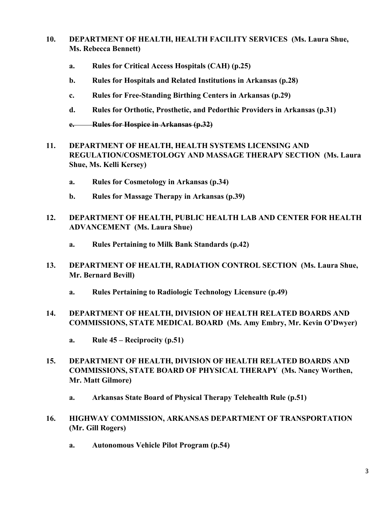- **10. DEPARTMENT OF HEALTH, HEALTH FACILITY SERVICES (Ms. Laura Shue, Ms. Rebecca Bennett)**
	- **a. Rules for Critical Access Hospitals (CAH) (p.25)**
	- **b. Rules for Hospitals and Related Institutions in Arkansas (p.28)**
	- **c. Rules for Free-Standing Birthing Centers in Arkansas (p.29)**
	- **d. Rules for Orthotic, Prosthetic, and Pedorthic Providers in Arkansas (p.31)**
	- **e. Rules for Hospice in Arkansas (p.32)**
- **11. DEPARTMENT OF HEALTH, HEALTH SYSTEMS LICENSING AND REGULATION/COSMETOLOGY AND MASSAGE THERAPY SECTION (Ms. Laura Shue, Ms. Kelli Kersey)**
	- **a. Rules for Cosmetology in Arkansas (p.34)**
	- **b. Rules for Massage Therapy in Arkansas (p.39)**
- **12. DEPARTMENT OF HEALTH, PUBLIC HEALTH LAB AND CENTER FOR HEALTH ADVANCEMENT (Ms. Laura Shue)**
	- **a. Rules Pertaining to Milk Bank Standards (p.42)**
- **13. DEPARTMENT OF HEALTH, RADIATION CONTROL SECTION (Ms. Laura Shue, Mr. Bernard Bevill)**
	- **a. Rules Pertaining to Radiologic Technology Licensure (p.49)**
- **14. DEPARTMENT OF HEALTH, DIVISION OF HEALTH RELATED BOARDS AND COMMISSIONS, STATE MEDICAL BOARD (Ms. Amy Embry, Mr. Kevin O'Dwyer)**
	- **a. Rule 45 – Reciprocity (p.51)**
- **15. DEPARTMENT OF HEALTH, DIVISION OF HEALTH RELATED BOARDS AND COMMISSIONS, STATE BOARD OF PHYSICAL THERAPY (Ms. Nancy Worthen, Mr. Matt Gilmore)**
	- **a. Arkansas State Board of Physical Therapy Telehealth Rule (p.51)**
- **16. HIGHWAY COMMISSION, ARKANSAS DEPARTMENT OF TRANSPORTATION (Mr. Gill Rogers)**
	- **a. Autonomous Vehicle Pilot Program (p.54)**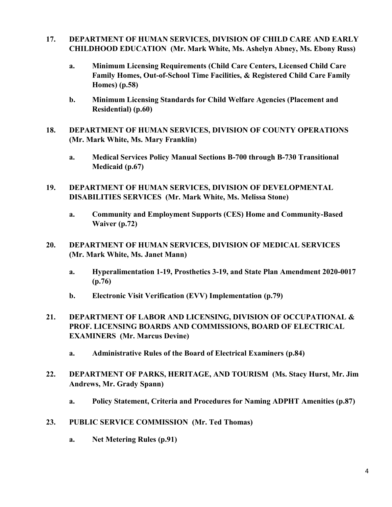- **17. DEPARTMENT OF HUMAN SERVICES, DIVISION OF CHILD CARE AND EARLY CHILDHOOD EDUCATION (Mr. Mark White, Ms. Ashelyn Abney, Ms. Ebony Russ)**
	- **a. Minimum Licensing Requirements (Child Care Centers, Licensed Child Care Family Homes, Out-of-School Time Facilities, & Registered Child Care Family Homes) (p.58)**
	- **b. Minimum Licensing Standards for Child Welfare Agencies (Placement and Residential) (p.60)**
- **18. DEPARTMENT OF HUMAN SERVICES, DIVISION OF COUNTY OPERATIONS (Mr. Mark White, Ms. Mary Franklin)**
	- **a. Medical Services Policy Manual Sections B-700 through B-730 Transitional Medicaid (p.67)**
- **19. DEPARTMENT OF HUMAN SERVICES, DIVISION OF DEVELOPMENTAL DISABILITIES SERVICES (Mr. Mark White, Ms. Melissa Stone)**
	- **a. Community and Employment Supports (CES) Home and Community-Based Waiver (p.72)**
- **20. DEPARTMENT OF HUMAN SERVICES, DIVISION OF MEDICAL SERVICES (Mr. Mark White, Ms. Janet Mann)**
	- **a. Hyperalimentation 1-19, Prosthetics 3-19, and State Plan Amendment 2020-0017 (p.76)**
	- **b. Electronic Visit Verification (EVV) Implementation (p.79)**
- **21. DEPARTMENT OF LABOR AND LICENSING, DIVISION OF OCCUPATIONAL & PROF. LICENSING BOARDS AND COMMISSIONS, BOARD OF ELECTRICAL EXAMINERS (Mr. Marcus Devine)**
	- **a. Administrative Rules of the Board of Electrical Examiners (p.84)**
- **22. DEPARTMENT OF PARKS, HERITAGE, AND TOURISM (Ms. Stacy Hurst, Mr. Jim Andrews, Mr. Grady Spann)**
	- **a. Policy Statement, Criteria and Procedures for Naming ADPHT Amenities (p.87)**
- **23. PUBLIC SERVICE COMMISSION (Mr. Ted Thomas)**
	- **a. Net Metering Rules (p.91)**